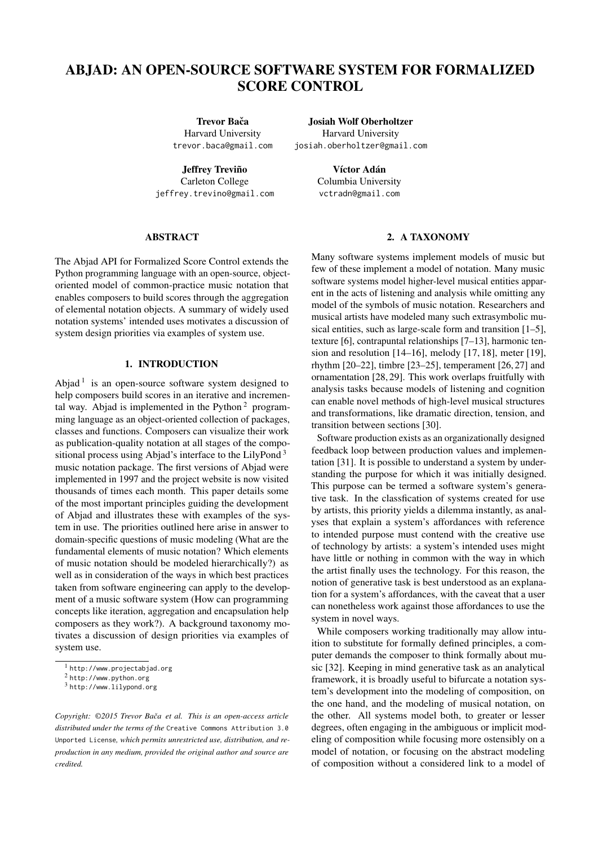# ABJAD: AN OPEN-SOURCE SOFTWARE SYSTEM FOR FORMALIZED SCORE CONTROL

Trevor Bača Harvard University [trevor.baca@gmail.com](mailto:trevor.baca@gmail.com)

**Jeffrey Treviño** Carleton College [jeffrey.trevino@gmail.com](mailto:jeffrey.trevino@gmail.com)

Josiah Wolf Oberholtzer Harvard University [josiah.oberholtzer@gmail.com](mailto:josiah.oberholtzer@gmail.com)

> Víctor Adán Columbia University [vctradn@gmail.com](mailto:vctradn@gmail.com)

## **ABSTRACT**

The Abjad API for Formalized Score Control extends the Python programming language with an open-source, objectoriented model of common-practice music notation that enables composers to build scores through the aggregation of elemental notation objects. A summary of widely used notation systems' intended uses motivates a discussion of system design priorities via examples of system use.

# 1. INTRODUCTION

Abjad<sup>[1](#page-0-0)</sup> is an open-source software system designed to help composers build scores in an iterative and incremen-tal way. Abjad is implemented in the Python<sup>[2](#page-0-1)</sup> programming language as an object-oriented collection of packages, classes and functions. Composers can visualize their work as publication-quality notation at all stages of the compositional process using Abjad's interface to the LilyPond [3](#page-0-2) music notation package. The first versions of Abjad were implemented in 1997 and the project website is now visited thousands of times each month. This paper details some of the most important principles guiding the development of Abjad and illustrates these with examples of the system in use. The priorities outlined here arise in answer to domain-specific questions of music modeling (What are the fundamental elements of music notation? Which elements of music notation should be modeled hierarchically?) as well as in consideration of the ways in which best practices taken from software engineering can apply to the development of a music software system (How can programming concepts like iteration, aggregation and encapsulation help composers as they work?). A background taxonomy motivates a discussion of design priorities via examples of system use.

## 2. A TAXONOMY

Many software systems implement models of music but few of these implement a model of notation. Many music software systems model higher-level musical entities apparent in the acts of listening and analysis while omitting any model of the symbols of music notation. Researchers and musical artists have modeled many such extrasymbolic musical entities, such as large-scale form and transition [\[1](#page-6-0)[–5\]](#page-6-1), texture [\[6\]](#page-6-2), contrapuntal relationships [\[7](#page-6-3)[–13\]](#page-6-4), harmonic tension and resolution [\[14](#page-6-5)[–16\]](#page-6-6), melody [\[17,](#page-6-7) [18\]](#page-6-8), meter [\[19\]](#page-6-9), rhythm  $[20-22]$  $[20-22]$ , timbre  $[23-25]$  $[23-25]$ , temperament  $[26, 27]$  $[26, 27]$  $[26, 27]$  and ornamentation [\[28,](#page-7-2) [29\]](#page-7-3). This work overlaps fruitfully with analysis tasks because models of listening and cognition can enable novel methods of high-level musical structures and transformations, like dramatic direction, tension, and transition between sections [\[30\]](#page-7-4).

Software production exists as an organizationally designed feedback loop between production values and implementation [\[31\]](#page-7-5). It is possible to understand a system by understanding the purpose for which it was initially designed. This purpose can be termed a software system's generative task. In the classfication of systems created for use by artists, this priority yields a dilemma instantly, as analyses that explain a system's affordances with reference to intended purpose must contend with the creative use of technology by artists: a system's intended uses might have little or nothing in common with the way in which the artist finally uses the technology. For this reason, the notion of generative task is best understood as an explanation for a system's affordances, with the caveat that a user can nonetheless work against those affordances to use the system in novel ways.

While composers working traditionally may allow intuition to substitute for formally defined principles, a computer demands the composer to think formally about music [\[32\]](#page-7-6). Keeping in mind generative task as an analytical framework, it is broadly useful to bifurcate a notation system's development into the modeling of composition, on the one hand, and the modeling of musical notation, on the other. All systems model both, to greater or lesser degrees, often engaging in the ambiguous or implicit modeling of composition while focusing more ostensibly on a model of notation, or focusing on the abstract modeling of composition without a considered link to a model of

<span id="page-0-0"></span><sup>1</sup> <http://www.projectabjad.org>

<span id="page-0-1"></span><sup>2</sup> <http://www.python.org>

<span id="page-0-2"></span><sup>3</sup> <http://www.lilypond.org>

*Copyright: ©2015 Trevor Baca et al. This is an open-access article ˇ distributed under the terms of the* [Creative Commons Attribution 3.0](http://creativecommons.org/licenses/by/3.0/) [Unported License](http://creativecommons.org/licenses/by/3.0/)*, which permits unrestricted use, distribution, and reproduction in any medium, provided the original author and source are credited.*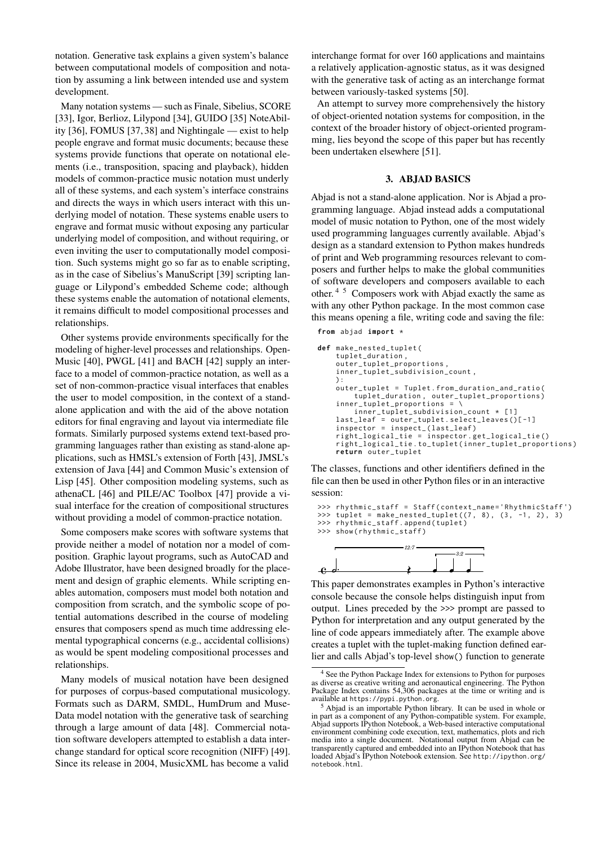notation. Generative task explains a given system's balance between computational models of composition and notation by assuming a link between intended use and system development.

Many notation systems — such as Finale, Sibelius, SCORE [\[33\]](#page-7-7), Igor, Berlioz, Lilypond [\[34\]](#page-7-8), GUIDO [\[35\]](#page-7-9) NoteAbility [\[36\]](#page-7-10), FOMUS [\[37,](#page-7-11) [38\]](#page-7-12) and Nightingale — exist to help people engrave and format music documents; because these systems provide functions that operate on notational elements (i.e., transposition, spacing and playback), hidden models of common-practice music notation must underly all of these systems, and each system's interface constrains and directs the ways in which users interact with this underlying model of notation. These systems enable users to engrave and format music without exposing any particular underlying model of composition, and without requiring, or even inviting the user to computationally model composition. Such systems might go so far as to enable scripting, as in the case of Sibelius's ManuScript [\[39\]](#page-7-13) scripting language or Lilypond's embedded Scheme code; although these systems enable the automation of notational elements, it remains difficult to model compositional processes and relationships.

Other systems provide environments specifically for the modeling of higher-level processes and relationships. Open-Music [\[40\]](#page-7-14), PWGL [\[41\]](#page-7-15) and BACH [\[42\]](#page-7-16) supply an interface to a model of common-practice notation, as well as a set of non-common-practice visual interfaces that enables the user to model composition, in the context of a standalone application and with the aid of the above notation editors for final engraving and layout via intermediate file formats. Similarly purposed systems extend text-based programming languages rather than existing as stand-alone applications, such as HMSL's extension of Forth [\[43\]](#page-7-17), JMSL's extension of Java [\[44\]](#page-7-18) and Common Music's extension of Lisp [\[45\]](#page-7-19). Other composition modeling systems, such as athenaCL [\[46\]](#page-7-20) and PILE/AC Toolbox [\[47\]](#page-7-21) provide a visual interface for the creation of compositional structures without providing a model of common-practice notation.

Some composers make scores with software systems that provide neither a model of notation nor a model of composition. Graphic layout programs, such as AutoCAD and Adobe Illustrator, have been designed broadly for the placement and design of graphic elements. While scripting enables automation, composers must model both notation and composition from scratch, and the symbolic scope of potential automations described in the course of modeling ensures that composers spend as much time addressing elemental typographical concerns (e.g., accidental collisions) as would be spent modeling compositional processes and relationships.

Many models of musical notation have been designed for purposes of corpus-based computational musicology. Formats such as DARM, SMDL, HumDrum and Muse-Data model notation with the generative task of searching through a large amount of data [\[48\]](#page-7-22). Commercial notation software developers attempted to establish a data interchange standard for optical score recognition (NIFF) [\[49\]](#page-7-23). Since its release in 2004, MusicXML has become a valid

interchange format for over 160 applications and maintains a relatively application-agnostic status, as it was designed with the generative task of acting as an interchange format between variously-tasked systems [\[50\]](#page-7-24).

An attempt to survey more comprehensively the history of object-oriented notation systems for composition, in the context of the broader history of object-oriented programming, lies beyond the scope of this paper but has recently been undertaken elsewhere [\[51\]](#page-7-25).

## 3. ABJAD BASICS

Abjad is not a stand-alone application. Nor is Abjad a programming language. Abjad instead adds a computational model of music notation to Python, one of the most widely used programming languages currently available. Abjad's design as a standard extension to Python makes hundreds of print and Web programming resources relevant to composers and further helps to make the global communities of software developers and composers available to each other. [4](#page-1-0) [5](#page-1-1) Composers work with Abjad exactly the same as with any other Python package. In the most common case this means opening a file, writing code and saving the file:

```
from abjad import *
```

```
def make nested tuplet (
     tuplet duration
     outer_tuplet_proportions ,
     inner_tuplet_subdivision_count ,
     ):
outer_tuplet = Tuplet . from_duration_and_ratio (
     tuplet_duration , outer_tuplet_proportions )
inner_tuplet_proportions = \
          inner_tuplet_subdivision_count * [1]
     last_leaf = outer_tuplet . select_leaves ()[ -1]
     inspector = inspect_ ( last_leaf )
right_logical_tie = inspector . get_logical_tie ()
     right_logical_tie . to_tuplet ( inner_tuplet_proportions )
    return outer tuplet
```
The classes, functions and other identifiers defined in the file can then be used in other Python files or in an interactive session:

```
>>> rhythmic_staff = Staff(context_name='RhythmicStaff')
>>> tuplet = make_nested_tuplet (7, 8), (3, -1, 2), 3)
>>> rhythmic_staff . append ( tuplet )
```

```
>>> show ( rhythmic_staff )
```


*12:7*

This paper demonstrates examples in Python's interactive console because the console helps distinguish input from output. Lines preceded by the >>> prompt are passed to Python for interpretation and any output generated by the line of code appears immediately after. The example above creates a tuplet with the tuplet-making function defined earlier and calls Abjad's top-level show() function to generate

<span id="page-1-0"></span><sup>4</sup> See the Python Package Index for extensions to Python for purposes as diverse as creative writing and aeronautical engineering. The Python Package Index contains 54,306 packages at the time or writing and is available at <https://pypi.python.org>.

<span id="page-1-1"></span><sup>5</sup> Abjad is an importable Python library. It can be used in whole or in part as a component of any Python-compatible system. For example, Abjad supports IPython Notebook, a Web-based interactive computational environment combining code execution, text, mathematics, plots and rich media into a single document. Notational output from Abjad can be transparently captured and embedded into an IPython Notebook that has loaded Abjad's IPython Notebook extension. See [http://ipython.org/](http://ipython.org/notebook.html) [notebook.html](http://ipython.org/notebook.html).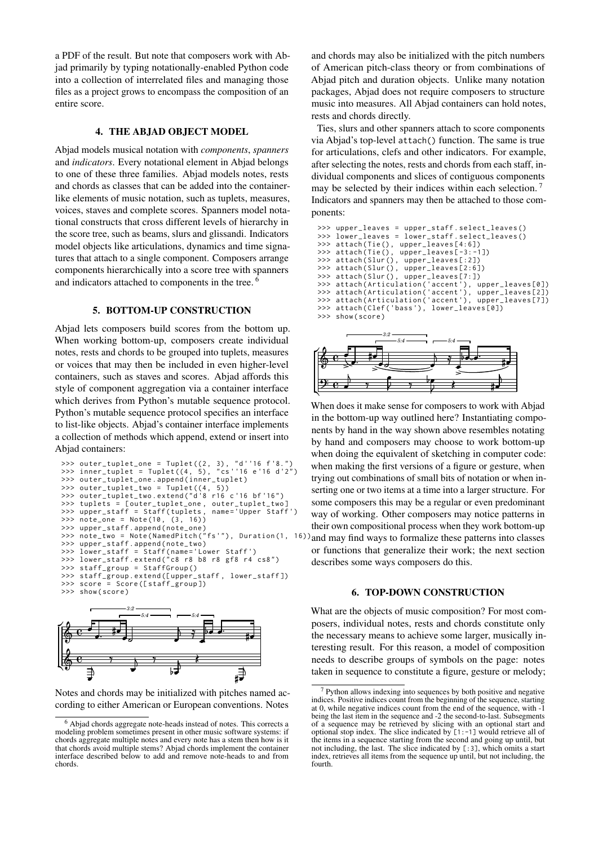a PDF of the result. But note that composers work with Abjad primarily by typing notationally-enabled Python code into a collection of interrelated files and managing those files as a project grows to encompass the composition of an entire score.

# 4. THE ABJAD OBJECT MODEL

Abjad models musical notation with *components*, *spanners* and *indicators*. Every notational element in Abjad belongs to one of these three families. Abjad models notes, rests and chords as classes that can be added into the containerlike elements of music notation, such as tuplets, measures, voices, staves and complete scores. Spanners model notational constructs that cross different levels of hierarchy in the score tree, such as beams, slurs and glissandi. Indicators model objects like articulations, dynamics and time signatures that attach to a single component. Composers arrange components hierarchically into a score tree with spanners and indicators attached to components in the tree. [6](#page-2-0)

#### 5. BOTTOM-UP CONSTRUCTION

Abjad lets composers build scores from the bottom up. When working bottom-up, composers create individual notes, rests and chords to be grouped into tuplets, measures or voices that may then be included in even higher-level containers, such as staves and scores. Abjad affords this style of component aggregation via a container interface which derives from Python's mutable sequence protocol. Python's mutable sequence protocol specifies an interface to list-like objects. Abjad's container interface implements a collection of methods which append, extend or insert into Abjad containers:

```
>>> outer_tuplet_one = Tuplet ((2 , 3) , " d ' '16 f '8. " )
>>> inner_tuplet = Tuplet ((4 , 5) , " cs ' '16 e '16 d '2 " )
>>> outer_tuplet_one . append ( inner_tuplet )
\Rightarrow outer_tuplet_two = Tuplet ((4, 5))>>> outer_tuplet_two.extend("d'8 r16 c'16 bf'16")<br>>>> tuplets = [outer_tuplet_one, outer_tuplet_two]<br>>>> upper_staff = Staff(tuplets, name='Upper Staff')
>>> tuplets = [ outer_tuplet_one , outer_tuplet_two ]
>>> upper_staff = Staff ( tuplets , name ='Upper Staff ')
>>> note_one = Note (10 , (3 , 16))
>>> upper_staff . append ( note_one )
>>> note_two = Note(NamedPitch("fs'"), Duration(1, 16)
>>> upper_staff . append ( note_two )
>>> lower_staff = Staff ( name ='Lower Staff ')
>>> lower_staff . extend ( " c8 r8 b8 r8 gf8 r4 cs8 " )
>>> staff_group = StaffGroup ()
>>> staff_group . extend ([ upper_staff , lower_staff ])
>>> score = Score ([ staff_group ])
      show(score)
```


Notes and chords may be initialized with pitches named according to either American or European conventions. Notes

and chords may also be initialized with the pitch numbers of American pitch-class theory or from combinations of Abjad pitch and duration objects. Unlike many notation packages, Abjad does not require composers to structure music into measures. All Abjad containers can hold notes, rests and chords directly.

Ties, slurs and other spanners attach to score components via Abjad's top-level attach() function. The same is true for articulations, clefs and other indicators. For example, after selecting the notes, rests and chords from each staff, individual components and slices of contiguous components may be selected by their indices within each selection.<sup>[7](#page-2-1)</sup> Indicators and spanners may then be attached to those components:

```
>>> upper_leaves = upper_staff.select_leaves()<br>>>> lower_leaves = lower_staff.select_leaves()
>>> lower_leaves = lower_staff.select_leaves()<br>>>> attach(Tie(), upper_leaves[4:6])
                                       upper\_leaves [4:6])>>> attach(Tie(), upper_leaves[-3:-1])<br>>>> attach(Slur(), upper_leaves[:2])
>>> attach ( Slur () , upper_leaves [:2])
>>> attach ( Slur () , upper_leaves [2:6])
>>> attach ( Slur () , upper_leaves [7:])
>>> attach ( Articulation ('accent ') , upper_leaves [0])
>>> attach ( Articulation ('accent ') , upper_leaves [2])
>>> attach ( Articulation ('accent ') , upper_leaves [7])
>>> attach ( Clef ('bass ') , lower_leaves [0])
>>> show ( score )
```


When does it make sense for composers to work with Abjad in the bottom-up way outlined here? Instantiating components by hand in the way shown above resembles notating by hand and composers may choose to work bottom-up when doing the equivalent of sketching in computer code: when making the first versions of a figure or gesture, when trying out combinations of small bits of notation or when inserting one or two items at a time into a larger structure. For some composers this may be a regular or even predominant way of working. Other composers may notice patterns in their own compositional process when they work bottom-up and may find ways to formalize these patterns into classes or functions that generalize their work; the next section describes some ways composers do this.

# 6. TOP-DOWN CONSTRUCTION

What are the objects of music composition? For most composers, individual notes, rests and chords constitute only the necessary means to achieve some larger, musically interesting result. For this reason, a model of composition needs to describe groups of symbols on the page: notes taken in sequence to constitute a figure, gesture or melody;

<span id="page-2-0"></span><sup>6</sup> Abjad chords aggregate note-heads instead of notes. This corrects a modeling problem sometimes present in other music software systems: if chords aggregate multiple notes and every note has a stem then how is it that chords avoid multiple stems? Abjad chords implement the container interface described below to add and remove note-heads to and from chords.

<span id="page-2-1"></span><sup>7</sup> Python allows indexing into sequences by both positive and negative indices. Positive indices count from the beginning of the sequence, starting at 0, while negative indices count from the end of the sequence, with -1 being the last item in the sequence and -2 the second-to-last. Subsegments of a sequence may be retrieved by slicing with an optional start and optional stop index. The slice indicated by [1:-1] would retrieve all of the items in a sequence starting from the second and going up until, but not including, the last. The slice indicated by [:3], which omits a start index, retrieves all items from the sequence up until, but not including, the fourth.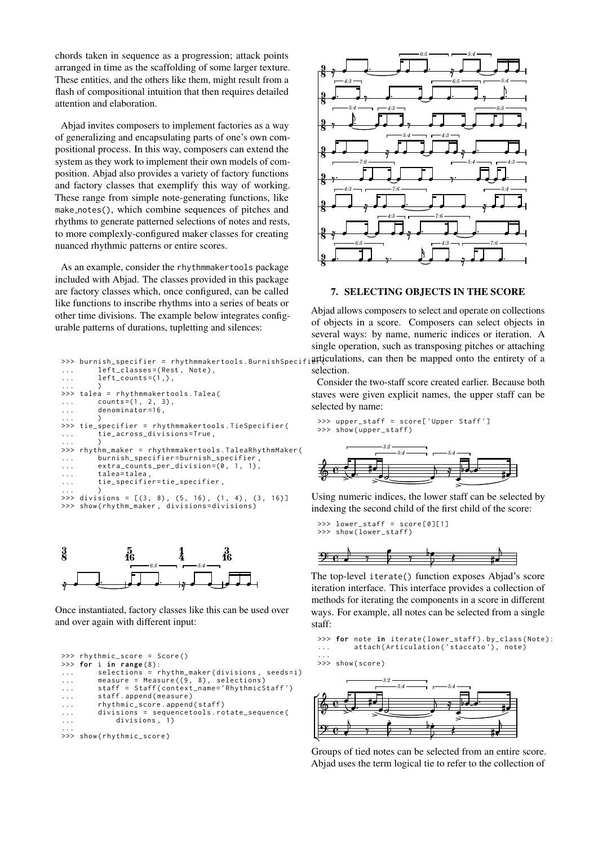chords taken in sequence as a progression; attack points arranged in time as the scaffolding of some larger texture. These entities, and the others like them, might result from a flash of compositional intuition that then requires detailed attention and elaboration.

Abjad invites composers to implement factories as a way of generalizing and encapsulating parts of one's own compositional process. In this way, composers can extend the system as they work to implement their own models of composition. Abjad also provides a variety of factory functions and factory classes that exemplify this way of working. These range from simple note-generating functions, like make notes(), which combine sequences of pitches and rhythms to generate patterned selections of notes and rests, to more complexly-configured maker classes for creating nuanced rhythmic patterns or entire scores.

As an example, consider the rhythmmakertools package included with Abjad. The classes provided in this package are factory classes which, once configured, can be called like functions to inscribe rhythms into a series of beats or other time divisions. The example below integrates configurable patterns of durations, tupletting and silences:

```
>>> burnish_specifier = rhythmmakertools.BurnishSpecif
... surmini-specific: information<br>... left_classes=(Rest, Note),
\ldots left_counts=(i, ),
... )
>>> talea = rhythmmakertools . Talea (
... counts=(1, 2, 3),... denominator =16 ,
... )
>>> tie_specifier = rhythmmakertools . TieSpecifier (
... tie_across_divisions=True,
... )
>>> rhythm_maker = rhythmmakertools . TaleaRhythmMaker (
... burnish_specifier = burnish_specifier ,
... extra_counts_per_division=(0, 1, 1),
... talea=talea,
... tie_specifier = tie_specifier ,
... )
\gg divisions = [(3, 8), (5, 16), (1, 4), (3, 16)]
>>> show(rhythm_maker, divisions=divisions)
```


Once instantiated, factory classes like this can be used over and over again with different input:

```
>>> rhythmic_score = Score ()
>>> for i in range (8):
... selections = rhythm_maker ( divisions , seeds = i )
... measure = Measure ((9 , 8) , selections )
... staff = Staff ( context_name =' RhythmicStaff ')
... staff.append(measure)
... rhythmic_score.append(staff)
... divisions = sequencetools . rotate_sequence (
              divisions, 1)
...
>>> show(rhythmic_score)
```


## 7. SELECTING OBJECTS IN THE SCORE

Abjad allows composers to select and operate on collections of objects in a score. Composers can select objects in several ways: by name, numeric indices or iteration. A single operation, such as transposing pitches or attaching articulations, can then be mapped onto the entirety of a selection.

Consider the two-staff score created earlier. Because both staves were given explicit names, the upper staff can be selected by name:

>>> upper\_staff = score ['Upper Staff '] >>> show ( upper\_staff ) *3:2*



Using numeric indices, the lower staff can be selected by indexing the second child of the first child of the score:

>>> lower\_staff = score [0][1] >>> show ( lower\_staff ) 

ë  $\gamma$  ,  $\gamma$  ,  $\gamma$ ë  $\ddot{ }$  $9e$  ,  $1 \tfrac{1}{2}$  $\overline{\phantom{0}}$ The top-level iterate() function exposes Abjad's score iteration interface. This interface provides a collection of methods for iterating the components in a score in different ways. For example, all notes can be selected from a single

>>> for note in iterate ( lower\_staff ). by\_class ( Note ): ... attach ( Articulation ('staccato ') , note )

...



 $9e$ 

staff:



Groups of tied notes can be selected from an entire score. Abjad uses the term logical tie to refer to the collection of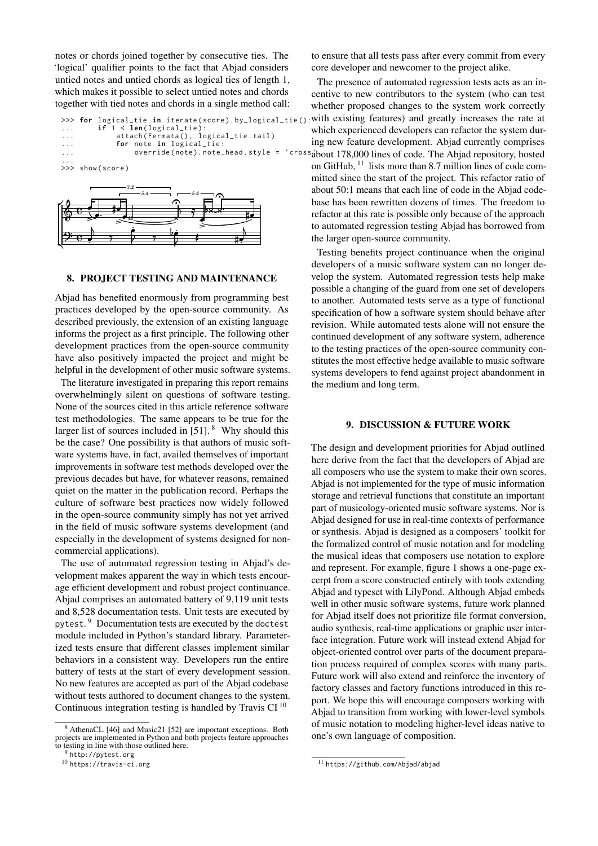notes or chords joined together by consecutive ties. The 'logical' qualifier points to the fact that Abjad considers untied notes and untied chords as logical ties of length 1, which makes it possible to select untied notes and chords together with tied notes and chords in a single method call:

```
>>> for logical_tie in iterate(score).by_logical_tie():<br>...      if 1 < len(logical_tie):
... attach (Fermata (), logical_tie.tail)
... for note in logical_tie:
... override ( note ). note_head . style = 'cross '
about 178,000 lines of code. The Abjad repository, hosted
...
>>> show ( score )
                3:2
```


## 8. PROJECT TESTING AND MAINTENANCE

Abjad has benefited enormously from programming best practices developed by the open-source community. As described previously, the extension of an existing language informs the project as a first principle. The following other development practices from the open-source community have also positively impacted the project and might be helpful in the development of other music software systems.

The literature investigated in preparing this report remains overwhelmingly silent on questions of software testing. None of the sources cited in this article reference software test methodologies. The same appears to be true for the larger list of sources included in  $[51]$ . <sup>[8](#page-4-0)</sup> Why should this be the case? One possibility is that authors of music software systems have, in fact, availed themselves of important improvements in software test methods developed over the previous decades but have, for whatever reasons, remained quiet on the matter in the publication record. Perhaps the culture of software best practices now widely followed in the open-source community simply has not yet arrived in the field of music software systems development (and especially in the development of systems designed for noncommercial applications).

The use of automated regression testing in Abjad's development makes apparent the way in which tests encourage efficient development and robust project continuance. Abjad comprises an automated battery of 9,119 unit tests and 8,528 documentation tests. Unit tests are executed by pytest.<sup>[9](#page-4-1)</sup> Documentation tests are executed by the doctest module included in Python's standard library. Parameterized tests ensure that different classes implement similar behaviors in a consistent way. Developers run the entire battery of tests at the start of every development session. No new features are accepted as part of the Abjad codebase without tests authored to document changes to the system. Continuous integration testing is handled by Travis CI [10](#page-4-2)

to ensure that all tests pass after every commit from every core developer and newcomer to the project alike.

The presence of automated regression tests acts as an incentive to new contributors to the system (who can test whether proposed changes to the system work correctly with existing features) and greatly increases the rate at which experienced developers can refactor the system during new feature development. Abjad currently comprises on GitHub,  $11$  lists more than 8.7 million lines of code committed since the start of the project. This refactor ratio of about 50:1 means that each line of code in the Abjad codebase has been rewritten dozens of times. The freedom to refactor at this rate is possible only because of the approach to automated regression testing Abjad has borrowed from the larger open-source community.

Testing benefits project continuance when the original developers of a music software system can no longer develop the system. Automated regression tests help make possible a changing of the guard from one set of developers to another. Automated tests serve as a type of functional specification of how a software system should behave after revision. While automated tests alone will not ensure the continued development of any software system, adherence to the testing practices of the open-source community constitutes the most effective hedge available to music software systems developers to fend against project abandonment in the medium and long term.

#### 9. DISCUSSION & FUTURE WORK

The design and development priorities for Abjad outlined here derive from the fact that the developers of Abjad are all composers who use the system to make their own scores. Abjad is not implemented for the type of music information storage and retrieval functions that constitute an important part of musicology-oriented music software systems. Nor is Abjad designed for use in real-time contexts of performance or synthesis. Abjad is designed as a composers' toolkit for the formalized control of music notation and for modeling the musical ideas that composers use notation to explore and represent. For example, figure [1](#page-5-0) shows a one-page excerpt from a score constructed entirely with tools extending Abjad and typeset with LilyPond. Although Abjad embeds well in other music software systems, future work planned for Abjad itself does not prioritize file format conversion, audio synthesis, real-time applications or graphic user interface integration. Future work will instead extend Abjad for object-oriented control over parts of the document preparation process required of complex scores with many parts. Future work will also extend and reinforce the inventory of factory classes and factory functions introduced in this report. We hope this will encourage composers working with Abjad to transition from working with lower-level symbols of music notation to modeling higher-level ideas native to one's own language of composition.

<span id="page-4-0"></span><sup>8</sup> AthenaCL [\[46\]](#page-7-20) and Music21 [\[52\]](#page-7-26) are important exceptions. Both projects are implemented in Python and both projects feature approaches to testing in line with those outlined here.

<span id="page-4-1"></span><sup>9</sup> <http://pytest.org>

<span id="page-4-2"></span><sup>10</sup> <https://travis-ci.org>

<span id="page-4-3"></span><sup>11</sup> <https://github.com/Abjad/abjad>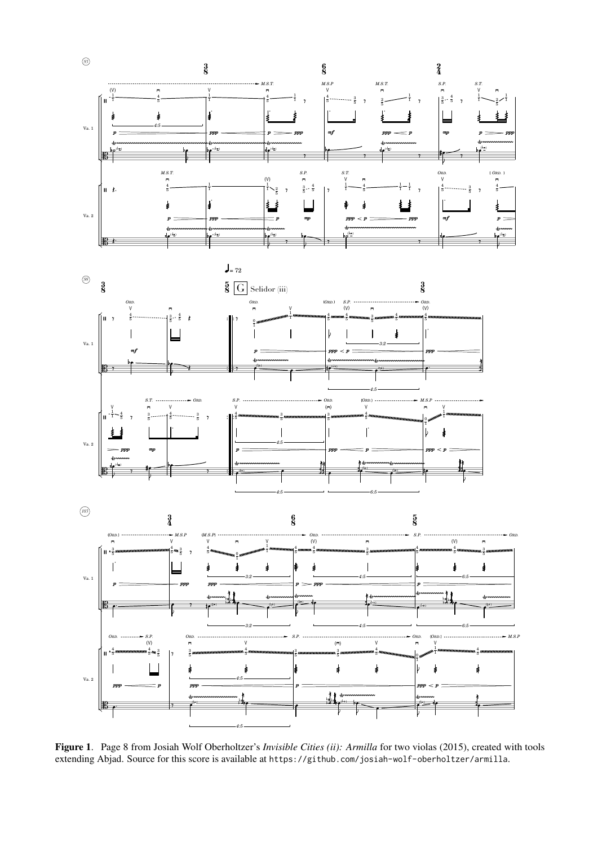

<span id="page-5-0"></span>Figure 1. Page 8 from Josiah Wolf Oberholtzer's *Invisible Cities (ii): Armilla* for two violas (2015), created with tools extending Abjad. Source for this score is available at <https://github.com/josiah-wolf-oberholtzer/armilla>.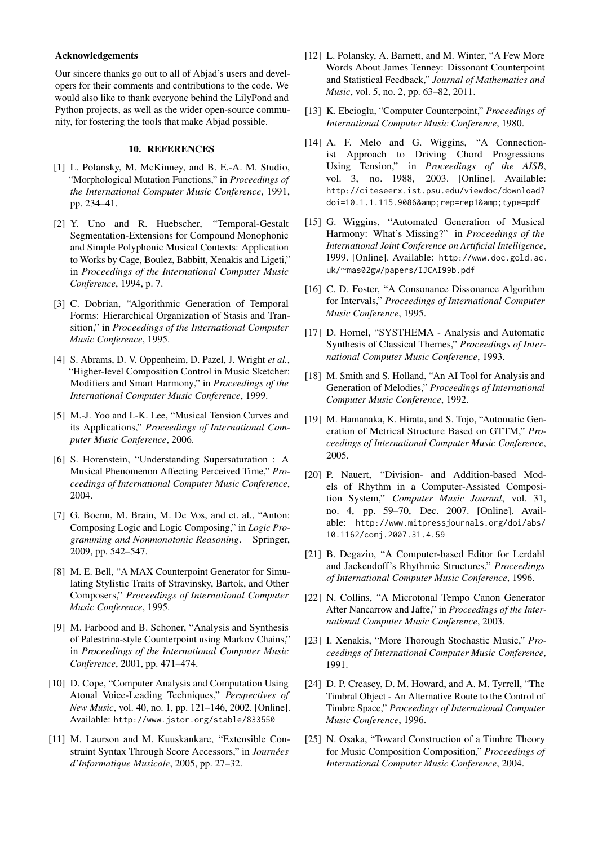#### Acknowledgements

Our sincere thanks go out to all of Abjad's users and developers for their comments and contributions to the code. We would also like to thank everyone behind the LilyPond and Python projects, as well as the wider open-source community, for fostering the tools that make Abjad possible.

# 10. REFERENCES

- <span id="page-6-0"></span>[1] L. Polansky, M. McKinney, and B. E.-A. M. Studio, "Morphological Mutation Functions," in *Proceedings of the International Computer Music Conference*, 1991, pp. 234–41.
- [2] Y. Uno and R. Huebscher, "Temporal-Gestalt Segmentation-Extensions for Compound Monophonic and Simple Polyphonic Musical Contexts: Application to Works by Cage, Boulez, Babbitt, Xenakis and Ligeti," in *Proceedings of the International Computer Music Conference*, 1994, p. 7.
- [3] C. Dobrian, "Algorithmic Generation of Temporal Forms: Hierarchical Organization of Stasis and Transition," in *Proceedings of the International Computer Music Conference*, 1995.
- [4] S. Abrams, D. V. Oppenheim, D. Pazel, J. Wright *et al.*, "Higher-level Composition Control in Music Sketcher: Modifiers and Smart Harmony," in *Proceedings of the International Computer Music Conference*, 1999.
- <span id="page-6-1"></span>[5] M.-J. Yoo and I.-K. Lee, "Musical Tension Curves and its Applications," *Proceedings of International Computer Music Conference*, 2006.
- <span id="page-6-2"></span>[6] S. Horenstein, "Understanding Supersaturation : A Musical Phenomenon Affecting Perceived Time," *Proceedings of International Computer Music Conference*, 2004.
- <span id="page-6-3"></span>[7] G. Boenn, M. Brain, M. De Vos, and et. al., "Anton: Composing Logic and Logic Composing," in *Logic Programming and Nonmonotonic Reasoning*. Springer, 2009, pp. 542–547.
- [8] M. E. Bell, "A MAX Counterpoint Generator for Simulating Stylistic Traits of Stravinsky, Bartok, and Other Composers," *Proceedings of International Computer Music Conference*, 1995.
- [9] M. Farbood and B. Schoner, "Analysis and Synthesis of Palestrina-style Counterpoint using Markov Chains," in *Proceedings of the International Computer Music Conference*, 2001, pp. 471–474.
- [10] D. Cope, "Computer Analysis and Computation Using Atonal Voice-Leading Techniques," *Perspectives of New Music*, vol. 40, no. 1, pp. 121–146, 2002. [Online]. Available: <http://www.jstor.org/stable/833550>
- [11] M. Laurson and M. Kuuskankare, "Extensible Constraint Syntax Through Score Accessors," in *Journees ´ d'Informatique Musicale*, 2005, pp. 27–32.
- [12] L. Polansky, A. Barnett, and M. Winter, "A Few More" Words About James Tenney: Dissonant Counterpoint and Statistical Feedback," *Journal of Mathematics and Music*, vol. 5, no. 2, pp. 63–82, 2011.
- <span id="page-6-4"></span>[13] K. Ebcioglu, "Computer Counterpoint," *Proceedings of International Computer Music Conference*, 1980.
- <span id="page-6-5"></span>[14] A. F. Melo and G. Wiggins, "A Connectionist Approach to Driving Chord Progressions Using Tension," in *Proceedings of the AISB*, vol. 3, no. 1988, 2003. [Online]. Available: [http://citeseerx.ist.psu.edu/viewdoc/download?](http://citeseerx.ist.psu.edu/viewdoc/download?doi=10.1.1.115.9086&rep=rep1&type=pdf) doi=10.1.1.115.9086& rep=rep1& type=pdf
- [15] G. Wiggins, "Automated Generation of Musical Harmony: What's Missing?" in *Proceedings of the International Joint Conference on Artificial Intelligence*, 1999. [Online]. Available: [http://www.doc.gold.ac.](http://www.doc.gold.ac.uk/~mas02gw/papers/IJCAI99b.pdf) uk/∼[mas02gw/papers/IJCAI99b.pdf](http://www.doc.gold.ac.uk/~mas02gw/papers/IJCAI99b.pdf)
- <span id="page-6-6"></span>[16] C. D. Foster, "A Consonance Dissonance Algorithm for Intervals," *Proceedings of International Computer Music Conference*, 1995.
- <span id="page-6-7"></span>[17] D. Hornel, "SYSTHEMA - Analysis and Automatic Synthesis of Classical Themes," *Proceedings of International Computer Music Conference*, 1993.
- <span id="page-6-8"></span>[18] M. Smith and S. Holland, "An AI Tool for Analysis and Generation of Melodies," *Proceedings of International Computer Music Conference*, 1992.
- <span id="page-6-9"></span>[19] M. Hamanaka, K. Hirata, and S. Tojo, "Automatic Generation of Metrical Structure Based on GTTM," *Proceedings of International Computer Music Conference*, 2005.
- <span id="page-6-10"></span>[20] P. Nauert, "Division- and Addition-based Models of Rhythm in a Computer-Assisted Composition System," *Computer Music Journal*, vol. 31, no. 4, pp. 59–70, Dec. 2007. [Online]. Available: [http://www.mitpressjournals.org/doi/abs/](http://www.mitpressjournals.org/doi/abs/10.1162/comj.2007.31.4.59) [10.1162/comj.2007.31.4.59](http://www.mitpressjournals.org/doi/abs/10.1162/comj.2007.31.4.59)
- [21] B. Degazio, "A Computer-based Editor for Lerdahl and Jackendoff's Rhythmic Structures," *Proceedings of International Computer Music Conference*, 1996.
- <span id="page-6-11"></span>[22] N. Collins, "A Microtonal Tempo Canon Generator After Nancarrow and Jaffe," in *Proceedings of the International Computer Music Conference*, 2003.
- <span id="page-6-12"></span>[23] I. Xenakis, "More Thorough Stochastic Music," *Proceedings of International Computer Music Conference*, 1991.
- [24] D. P. Creasey, D. M. Howard, and A. M. Tyrrell, "The Timbral Object - An Alternative Route to the Control of Timbre Space," *Proceedings of International Computer Music Conference*, 1996.
- <span id="page-6-13"></span>[25] N. Osaka, "Toward Construction of a Timbre Theory for Music Composition Composition," *Proceedings of International Computer Music Conference*, 2004.